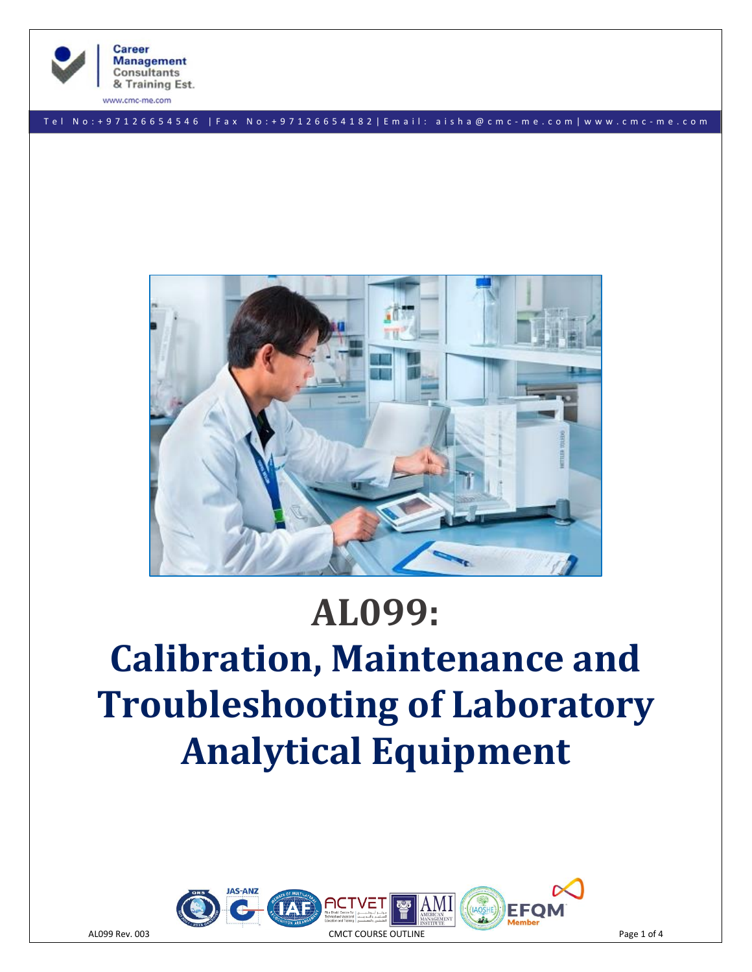

www.cmc-me.com

**Consultants** 

T e l N o : + 9 7 1 2 6 6 5 4 5 4 6 | F a x N o : + 9 7 1 2 6 6 5 4 1 8 2 | E m a i l : a i s h a @ c m c - m e . c o m | w w w . c m c - m e . c o m



# **AL099:**

# **Calibration, Maintenance and Troubleshooting of Laboratory Analytical Equipment**

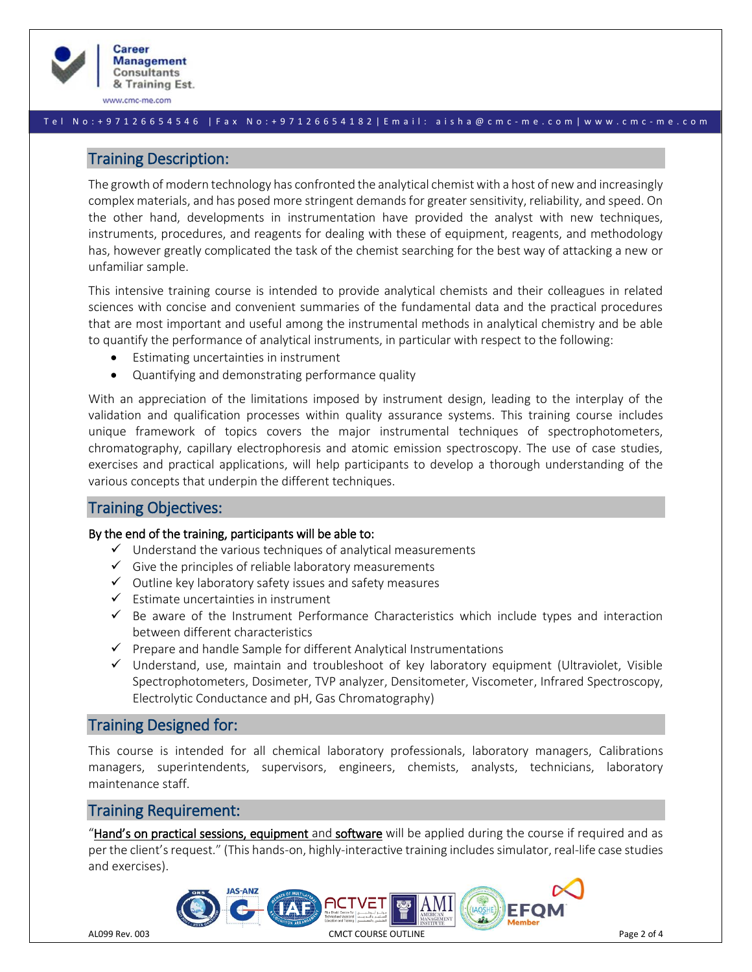

www.cmc-me.com

#### T e l N o : + 9 7 1 2 6 6 5 4 5 4 6 | F a x N o : + 9 7 1 2 6 6 5 4 1 8 2 | E m a i l : a i s h a @ c m c - m e . c o m | w w w . c m c - m e . c o m

# Training Description:

The growth of modern technology has confronted the analytical chemist with a host of new and increasingly complex materials, and has posed more stringent demands for greater sensitivity, reliability, and speed. On the other hand, developments in instrumentation have provided the analyst with new techniques, instruments, procedures, and reagents for dealing with these of equipment, reagents, and methodology has, however greatly complicated the task of the chemist searching for the best way of attacking a new or unfamiliar sample.

This intensive training course is intended to provide analytical chemists and their colleagues in related sciences with concise and convenient summaries of the fundamental data and the practical procedures that are most important and useful among the instrumental methods in analytical chemistry and be able to quantify the performance of analytical instruments, in particular with respect to the following:

- Estimating uncertainties in instrument
- Quantifying and demonstrating performance quality

With an appreciation of the limitations imposed by instrument design, leading to the interplay of the validation and qualification processes within quality assurance systems. This training course includes unique framework of topics covers the major instrumental techniques of spectrophotometers, chromatography, capillary electrophoresis and atomic emission spectroscopy. The use of case studies, exercises and practical applications, will help participants to develop a thorough understanding of the various concepts that underpin the different techniques.

# Training Objectives:

#### By the end of the training, participants will be able to:

- $\checkmark$  Understand the various techniques of analytical measurements
- $\checkmark$  Give the principles of reliable laboratory measurements
- ✓ Outline key laboratory safety issues and safety measures
- $\checkmark$  Estimate uncertainties in instrument
- ✓ Be aware of the Instrument Performance Characteristics which include types and interaction between different characteristics
- $\checkmark$  Prepare and handle Sample for different Analytical Instrumentations
- ✓ Understand, use, maintain and troubleshoot of key laboratory equipment (Ultraviolet, Visible Spectrophotometers, Dosimeter, TVP analyzer, Densitometer, Viscometer, Infrared Spectroscopy, Electrolytic Conductance and pH, Gas Chromatography)

# Training Designed for:

This course is intended for all chemical laboratory professionals, laboratory managers, Calibrations managers, superintendents, supervisors, engineers, chemists, analysts, technicians, laboratory maintenance staff.

# Training Requirement:

"Hand's on practical sessions, equipment and software will be applied during the course if required and as per the client's request." (This hands-on, highly-interactive training includessimulator, real-life case studies and exercises).

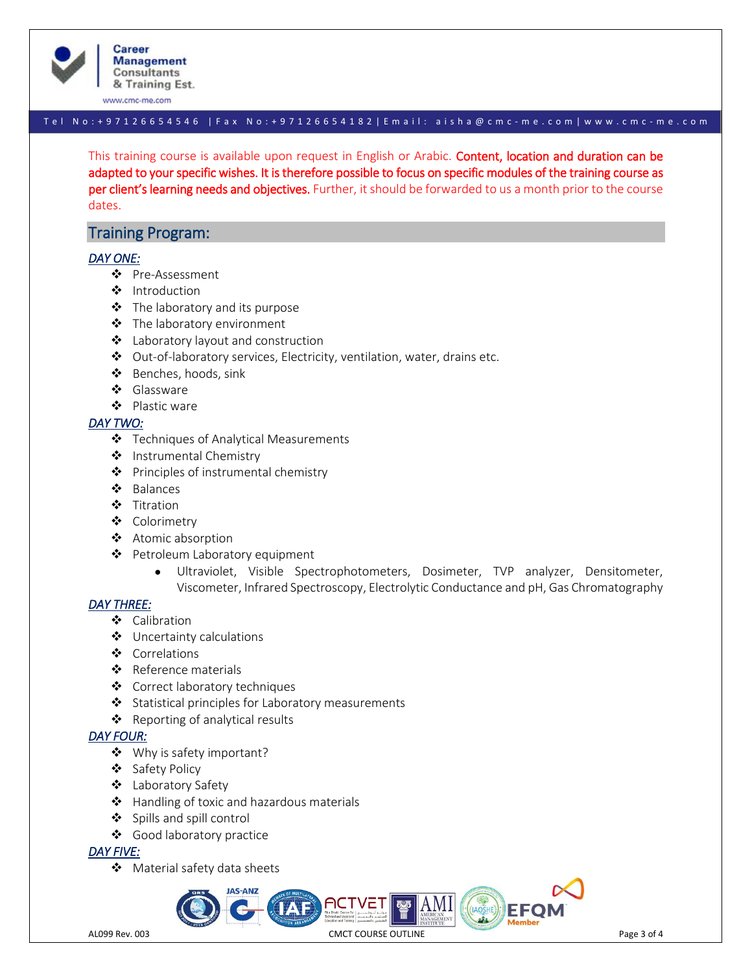

**Career Management Consultants** & Training Est.

www.cmc-me.com

# T e l N o : + 9 7 1 2 6 6 5 4 5 4 6 | F a x N o : + 9 7 1 2 6 6 5 4 1 8 2 | E m a i l : a i s h a @ c m c - m e . c o m | w w w . c m c - m e . c o m

This training course is available upon request in English or Arabic. Content, location and duration can be adapted to your specific wishes. It is therefore possible to focus on specific modules of the training course as per client's learning needs and objectives. Further, it should be forwarded to us a month prior to the course dates.

# Training Program:

#### *DAY ONE:*

- ❖ Pre-Assessment
- ❖ Introduction
- ❖ The laboratory and its purpose
- ❖ The laboratory environment
- ❖ Laboratory layout and construction
- ❖ Out-of-laboratory services, Electricity, ventilation, water, drains etc.
- ❖ Benches, hoods, sink
- ❖ Glassware
- ❖ Plastic ware

#### *DAY TWO:*

- ❖ Techniques of Analytical Measurements
- ❖ Instrumental Chemistry
- ❖ Principles of instrumental chemistry
- ❖ Balances
- ❖ Titration
- ❖ Colorimetry
- ❖ Atomic absorption
- ❖ Petroleum Laboratory equipment
	- Ultraviolet, Visible Spectrophotometers, Dosimeter, TVP analyzer, Densitometer, Viscometer, Infrared Spectroscopy, Electrolytic Conductance and pH, Gas Chromatography

#### *DAY THREE:*

- ❖ Calibration
- ❖ Uncertainty calculations
- ❖ Correlations
- ❖ Reference materials
- ❖ Correct laboratory techniques
- ❖ Statistical principles for Laboratory measurements
- ❖ Reporting of analytical results

#### *DAY FOUR:*

- ❖ Why is safety important?
- ❖ Safety Policy
- ❖ Laboratory Safety
- ❖ Handling of toxic and hazardous materials
- ❖ Spills and spill control
- ❖ Good laboratory practice

## *DAY FIVE:*

❖ Material safety data sheets

AL099 Rev. 003 **CMCT COURSE OUTLINE CALCE ACCESS Page 3 of 4** CMCT COURSE OUTLINE

AMI|

 $\left(\left(\left(AOSHE\right)\right)\right)$   $EFO$